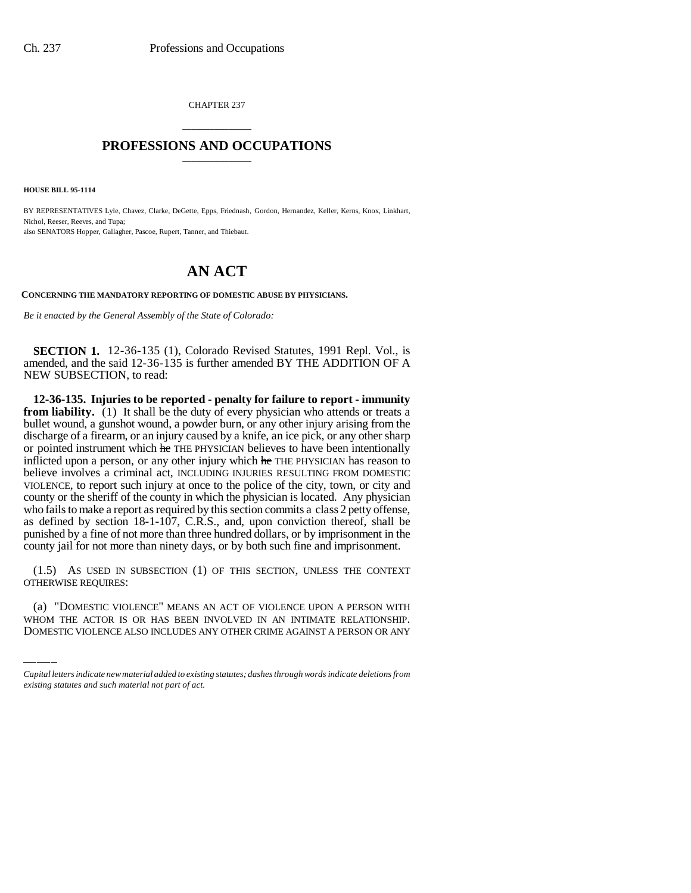CHAPTER 237

## \_\_\_\_\_\_\_\_\_\_\_\_\_\_\_ **PROFESSIONS AND OCCUPATIONS** \_\_\_\_\_\_\_\_\_\_\_\_\_\_\_

**HOUSE BILL 95-1114**

BY REPRESENTATIVES Lyle, Chavez, Clarke, DeGette, Epps, Friednash, Gordon, Hernandez, Keller, Kerns, Knox, Linkhart, Nichol, Reeser, Reeves, and Tupa; also SENATORS Hopper, Gallagher, Pascoe, Rupert, Tanner, and Thiebaut.

## **AN ACT**

**CONCERNING THE MANDATORY REPORTING OF DOMESTIC ABUSE BY PHYSICIANS.**

*Be it enacted by the General Assembly of the State of Colorado:*

**SECTION 1.** 12-36-135 (1), Colorado Revised Statutes, 1991 Repl. Vol., is amended, and the said 12-36-135 is further amended BY THE ADDITION OF A NEW SUBSECTION, to read:

**12-36-135. Injuries to be reported - penalty for failure to report - immunity from liability.** (1) It shall be the duty of every physician who attends or treats a bullet wound, a gunshot wound, a powder burn, or any other injury arising from the discharge of a firearm, or an injury caused by a knife, an ice pick, or any other sharp or pointed instrument which he THE PHYSICIAN believes to have been intentionally inflicted upon a person, or any other injury which he THE PHYSICIAN has reason to believe involves a criminal act, INCLUDING INJURIES RESULTING FROM DOMESTIC VIOLENCE, to report such injury at once to the police of the city, town, or city and county or the sheriff of the county in which the physician is located. Any physician who fails to make a report as required by this section commits a class 2 petty offense, as defined by section 18-1-107, C.R.S., and, upon conviction thereof, shall be punished by a fine of not more than three hundred dollars, or by imprisonment in the county jail for not more than ninety days, or by both such fine and imprisonment.

(1.5) AS USED IN<br>OTHERWISE REQUIRES: (1.5) AS USED IN SUBSECTION (1) OF THIS SECTION, UNLESS THE CONTEXT

(a) "DOMESTIC VIOLENCE" MEANS AN ACT OF VIOLENCE UPON A PERSON WITH WHOM THE ACTOR IS OR HAS BEEN INVOLVED IN AN INTIMATE RELATIONSHIP. DOMESTIC VIOLENCE ALSO INCLUDES ANY OTHER CRIME AGAINST A PERSON OR ANY

*Capital letters indicate new material added to existing statutes; dashes through words indicate deletions from existing statutes and such material not part of act.*